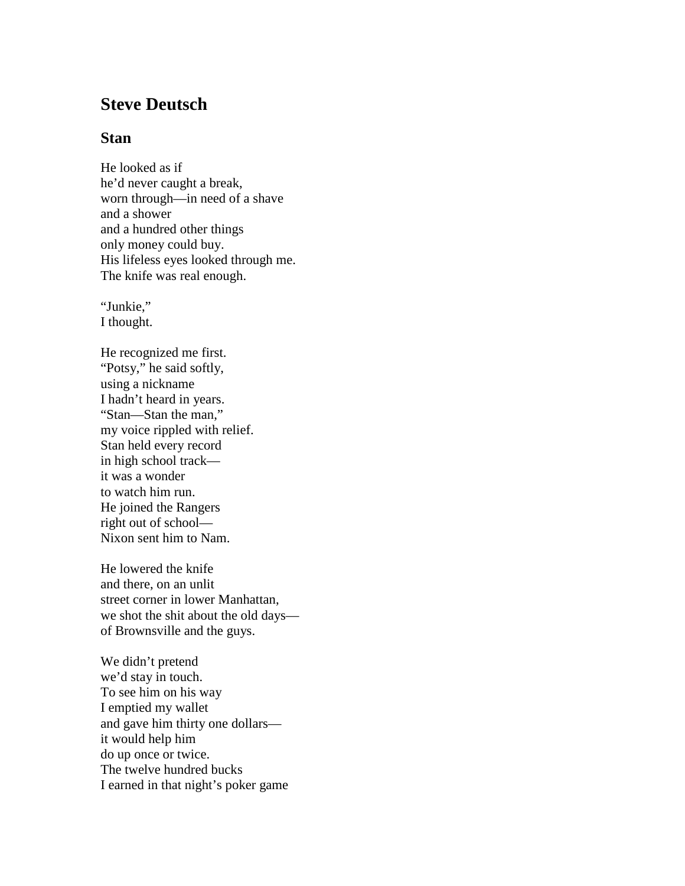## **Steve Deutsch**

## **Stan**

He looked as if he'd never caught a break, worn through—in need of a shave and a shower and a hundred other things only money could buy. His lifeless eyes looked through me. The knife was real enough.

"Junkie," I thought.

He recognized me first. "Potsy," he said softly, using a nickname I hadn't heard in years. "Stan—Stan the man," my voice rippled with relief. Stan held every record in high school track it was a wonder to watch him run. He joined the Rangers right out of school— Nixon sent him to Nam.

He lowered the knife and there, on an unlit street corner in lower Manhattan, we shot the shit about the old days of Brownsville and the guys.

We didn't pretend we'd stay in touch. To see him on his way I emptied my wallet and gave him thirty one dollars it would help him do up once or twice. The twelve hundred bucks I earned in that night's poker game